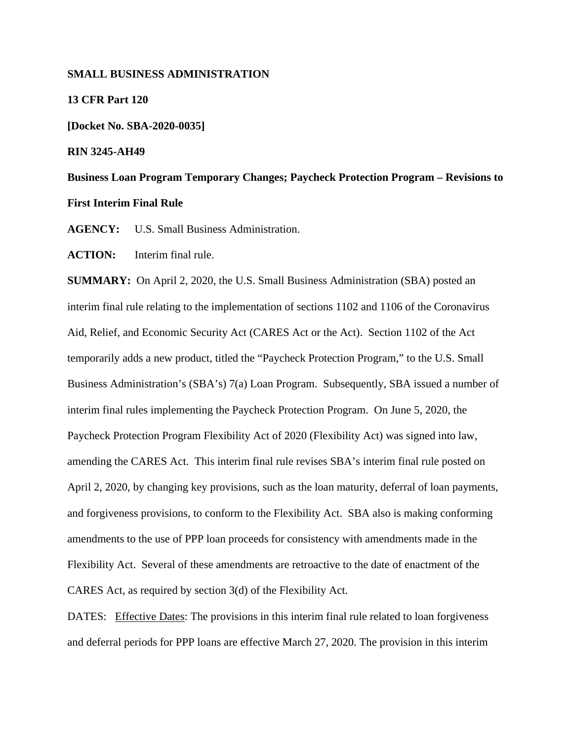## **SMALL BUSINESS ADMINISTRATION**

### **13 CFR Part 120**

**[Docket No. SBA-2020-0035]**

### **RIN 3245-AH49**

**Business Loan Program Temporary Changes; Paycheck Protection Program – Revisions to First Interim Final Rule**

**AGENCY:** U.S. Small Business Administration.

**ACTION:** Interim final rule.

**SUMMARY:** On April 2, 2020, the U.S. Small Business Administration (SBA) posted an interim final rule relating to the implementation of sections 1102 and 1106 of the Coronavirus Aid, Relief, and Economic Security Act (CARES Act or the Act). Section 1102 of the Act temporarily adds a new product, titled the "Paycheck Protection Program," to the U.S. Small Business Administration's (SBA's) 7(a) Loan Program. Subsequently, SBA issued a number of interim final rules implementing the Paycheck Protection Program. On June 5, 2020, the Paycheck Protection Program Flexibility Act of 2020 (Flexibility Act) was signed into law, amending the CARES Act. This interim final rule revises SBA's interim final rule posted on April 2, 2020, by changing key provisions, such as the loan maturity, deferral of loan payments, and forgiveness provisions, to conform to the Flexibility Act. SBA also is making conforming amendments to the use of PPP loan proceeds for consistency with amendments made in the Flexibility Act. Several of these amendments are retroactive to the date of enactment of the CARES Act, as required by section 3(d) of the Flexibility Act.

DATES: Effective Dates: The provisions in this interim final rule related to loan forgiveness and deferral periods for PPP loans are effective March 27, 2020. The provision in this interim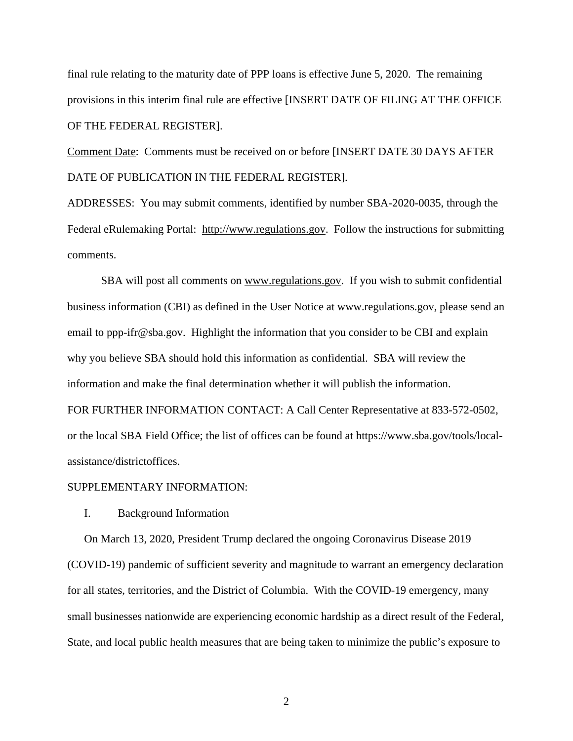final rule relating to the maturity date of PPP loans is effective June 5, 2020. The remaining provisions in this interim final rule are effective [INSERT DATE OF FILING AT THE OFFICE OF THE FEDERAL REGISTER].

Comment Date: Comments must be received on or before [INSERT DATE 30 DAYS AFTER DATE OF PUBLICATION IN THE FEDERAL REGISTER].

ADDRESSES: You may submit comments, identified by number SBA-2020-0035, through the Federal eRulemaking Portal: http://www.regulations.gov. Follow the instructions for submitting comments.

SBA will post all comments on www.regulations.gov. If you wish to submit confidential business information (CBI) as defined in the User Notice at www.regulations.gov, please send an email to ppp-ifr@sba.gov. Highlight the information that you consider to be CBI and explain why you believe SBA should hold this information as confidential. SBA will review the information and make the final determination whether it will publish the information. FOR FURTHER INFORMATION CONTACT: A Call Center Representative at 833-572-0502, or the local SBA Field Office; the list of offices can be found at https://www.sba.gov/tools/localassistance/districtoffices.

## SUPPLEMENTARY INFORMATION:

## I. Background Information

On March 13, 2020, President Trump declared the ongoing Coronavirus Disease 2019 (COVID-19) pandemic of sufficient severity and magnitude to warrant an emergency declaration for all states, territories, and the District of Columbia. With the COVID-19 emergency, many small businesses nationwide are experiencing economic hardship as a direct result of the Federal, State, and local public health measures that are being taken to minimize the public's exposure to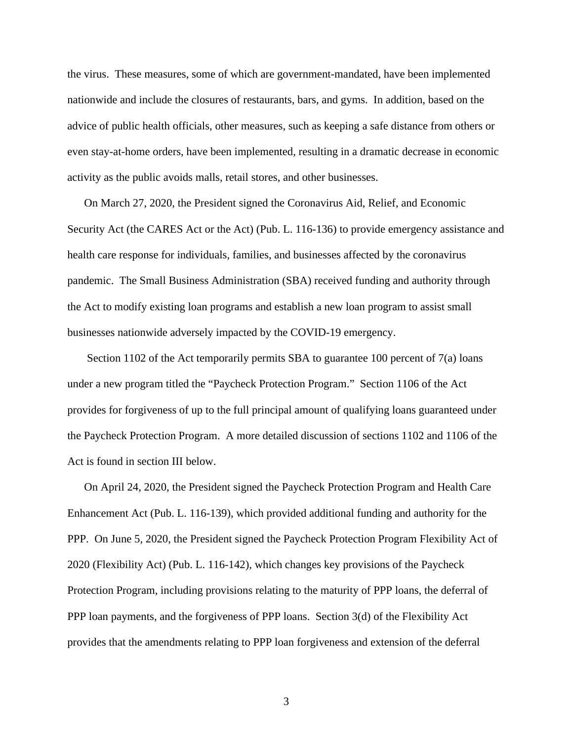the virus. These measures, some of which are government-mandated, have been implemented nationwide and include the closures of restaurants, bars, and gyms. In addition, based on the advice of public health officials, other measures, such as keeping a safe distance from others or even stay-at-home orders, have been implemented, resulting in a dramatic decrease in economic activity as the public avoids malls, retail stores, and other businesses.

On March 27, 2020, the President signed the Coronavirus Aid, Relief, and Economic Security Act (the CARES Act or the Act) (Pub. L. 116-136) to provide emergency assistance and health care response for individuals, families, and businesses affected by the coronavirus pandemic. The Small Business Administration (SBA) received funding and authority through the Act to modify existing loan programs and establish a new loan program to assist small businesses nationwide adversely impacted by the COVID-19 emergency.

Section 1102 of the Act temporarily permits SBA to guarantee 100 percent of 7(a) loans under a new program titled the "Paycheck Protection Program." Section 1106 of the Act provides for forgiveness of up to the full principal amount of qualifying loans guaranteed under the Paycheck Protection Program. A more detailed discussion of sections 1102 and 1106 of the Act is found in section III below.

On April 24, 2020, the President signed the Paycheck Protection Program and Health Care Enhancement Act (Pub. L. 116-139), which provided additional funding and authority for the PPP. On June 5, 2020, the President signed the Paycheck Protection Program Flexibility Act of 2020 (Flexibility Act) (Pub. L. 116-142), which changes key provisions of the Paycheck Protection Program, including provisions relating to the maturity of PPP loans, the deferral of PPP loan payments, and the forgiveness of PPP loans. Section 3(d) of the Flexibility Act provides that the amendments relating to PPP loan forgiveness and extension of the deferral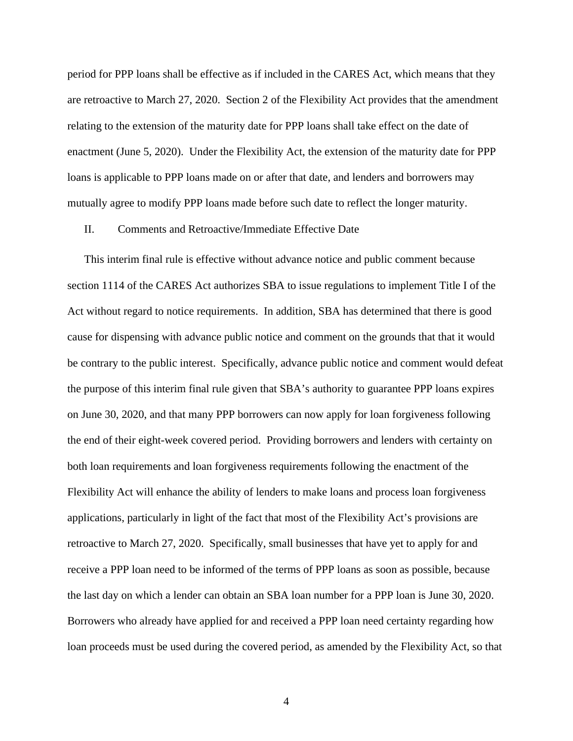period for PPP loans shall be effective as if included in the CARES Act, which means that they are retroactive to March 27, 2020. Section 2 of the Flexibility Act provides that the amendment relating to the extension of the maturity date for PPP loans shall take effect on the date of enactment (June 5, 2020). Under the Flexibility Act, the extension of the maturity date for PPP loans is applicable to PPP loans made on or after that date, and lenders and borrowers may mutually agree to modify PPP loans made before such date to reflect the longer maturity.

### II. Comments and Retroactive/Immediate Effective Date

This interim final rule is effective without advance notice and public comment because section 1114 of the CARES Act authorizes SBA to issue regulations to implement Title I of the Act without regard to notice requirements. In addition, SBA has determined that there is good cause for dispensing with advance public notice and comment on the grounds that that it would be contrary to the public interest. Specifically, advance public notice and comment would defeat the purpose of this interim final rule given that SBA's authority to guarantee PPP loans expires on June 30, 2020, and that many PPP borrowers can now apply for loan forgiveness following the end of their eight-week covered period. Providing borrowers and lenders with certainty on both loan requirements and loan forgiveness requirements following the enactment of the Flexibility Act will enhance the ability of lenders to make loans and process loan forgiveness applications, particularly in light of the fact that most of the Flexibility Act's provisions are retroactive to March 27, 2020. Specifically, small businesses that have yet to apply for and receive a PPP loan need to be informed of the terms of PPP loans as soon as possible, because the last day on which a lender can obtain an SBA loan number for a PPP loan is June 30, 2020. Borrowers who already have applied for and received a PPP loan need certainty regarding how loan proceeds must be used during the covered period, as amended by the Flexibility Act, so that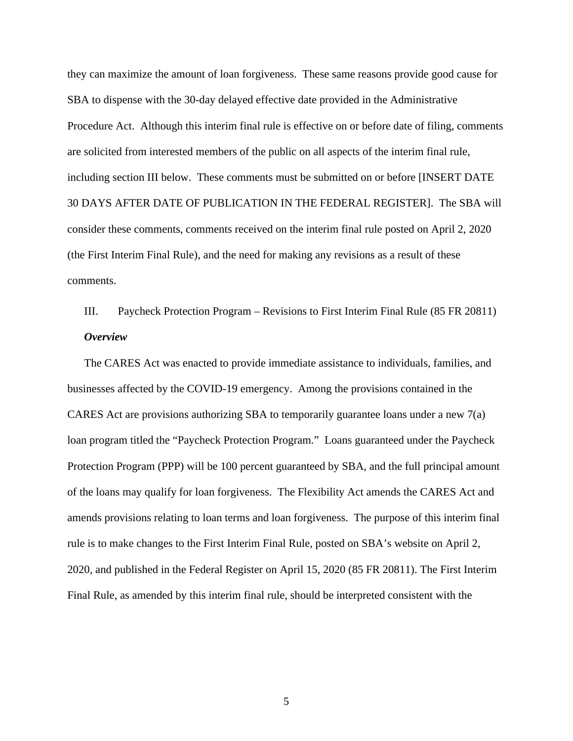they can maximize the amount of loan forgiveness. These same reasons provide good cause for SBA to dispense with the 30-day delayed effective date provided in the Administrative Procedure Act. Although this interim final rule is effective on or before date of filing, comments are solicited from interested members of the public on all aspects of the interim final rule, including section III below. These comments must be submitted on or before [INSERT DATE 30 DAYS AFTER DATE OF PUBLICATION IN THE FEDERAL REGISTER]. The SBA will consider these comments, comments received on the interim final rule posted on April 2, 2020 (the First Interim Final Rule), and the need for making any revisions as a result of these comments.

III. Paycheck Protection Program – Revisions to First Interim Final Rule (85 FR 20811) *Overview*

The CARES Act was enacted to provide immediate assistance to individuals, families, and businesses affected by the COVID-19 emergency. Among the provisions contained in the CARES Act are provisions authorizing SBA to temporarily guarantee loans under a new 7(a) loan program titled the "Paycheck Protection Program." Loans guaranteed under the Paycheck Protection Program (PPP) will be 100 percent guaranteed by SBA, and the full principal amount of the loans may qualify for loan forgiveness. The Flexibility Act amends the CARES Act and amends provisions relating to loan terms and loan forgiveness. The purpose of this interim final rule is to make changes to the First Interim Final Rule, posted on SBA's website on April 2, 2020, and published in the Federal Register on April 15, 2020 (85 FR 20811). The First Interim Final Rule, as amended by this interim final rule, should be interpreted consistent with the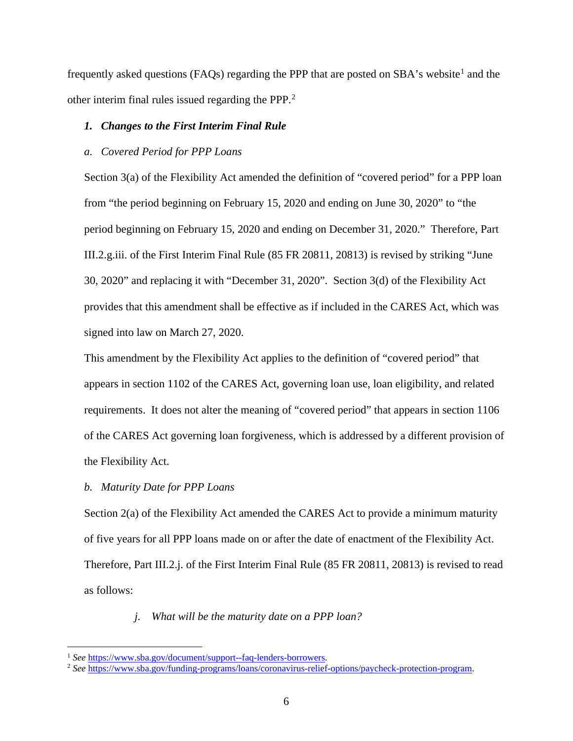frequently asked questions (FAQs) regarding the PPP that are posted on  $SBA$ 's website<sup>[1](#page-5-0)</sup> and the other interim final rules issued regarding the PPP.[2](#page-5-1)

## *1. Changes to the First Interim Final Rule*

## *a. Covered Period for PPP Loans*

Section 3(a) of the Flexibility Act amended the definition of "covered period" for a PPP loan from "the period beginning on February 15, 2020 and ending on June 30, 2020" to "the period beginning on February 15, 2020 and ending on December 31, 2020." Therefore, Part III.2.g.iii. of the First Interim Final Rule (85 FR 20811, 20813) is revised by striking "June 30, 2020" and replacing it with "December 31, 2020". Section 3(d) of the Flexibility Act provides that this amendment shall be effective as if included in the CARES Act, which was signed into law on March 27, 2020.

This amendment by the Flexibility Act applies to the definition of "covered period" that appears in section 1102 of the CARES Act, governing loan use, loan eligibility, and related requirements. It does not alter the meaning of "covered period" that appears in section 1106 of the CARES Act governing loan forgiveness, which is addressed by a different provision of the Flexibility Act.

## *b. Maturity Date for PPP Loans*

Section 2(a) of the Flexibility Act amended the CARES Act to provide a minimum maturity of five years for all PPP loans made on or after the date of enactment of the Flexibility Act. Therefore, Part III.2.j. of the First Interim Final Rule (85 FR 20811, 20813) is revised to read as follows:

## *j. What will be the maturity date on a PPP loan?*

<span id="page-5-0"></span><sup>&</sup>lt;sup>1</sup> See [https://www.sba.gov/document/support--faq-lenders-borrowers.](https://www.sba.gov/document/support--faq-lenders-borrowers)

<span id="page-5-1"></span><sup>2</sup> *See* [https://www.sba.gov/funding-programs/loans/coronavirus-relief-options/paycheck-protection-program.](https://www.sba.gov/funding-programs/loans/coronavirus-relief-options/paycheck-protection-program)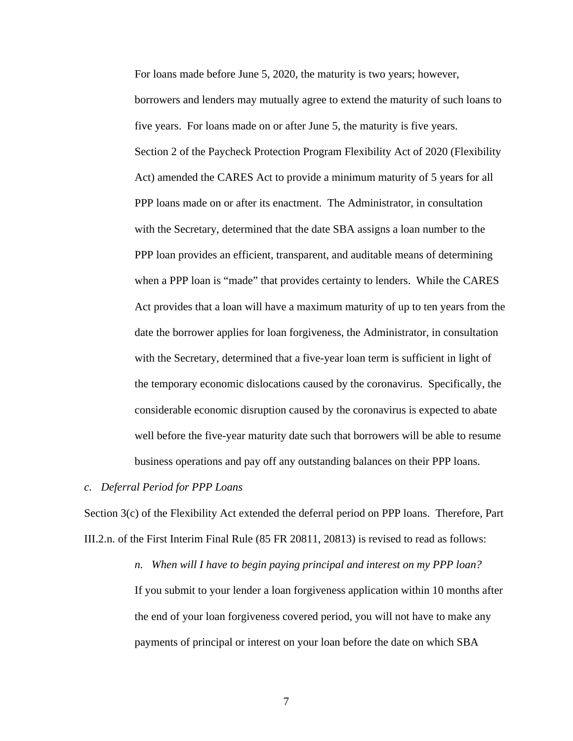For loans made before June 5, 2020, the maturity is two years; however, borrowers and lenders may mutually agree to extend the maturity of such loans to five years. For loans made on or after June 5, the maturity is five years. Section 2 of the Paycheck Protection Program Flexibility Act of 2020 (Flexibility Act) amended the CARES Act to provide a minimum maturity of 5 years for all PPP loans made on or after its enactment. The Administrator, in consultation with the Secretary, determined that the date SBA assigns a loan number to the PPP loan provides an efficient, transparent, and auditable means of determining when a PPP loan is "made" that provides certainty to lenders. While the CARES Act provides that a loan will have a maximum maturity of up to ten years from the date the borrower applies for loan forgiveness, the Administrator, in consultation with the Secretary, determined that a five-year loan term is sufficient in light of the temporary economic dislocations caused by the coronavirus. Specifically, the considerable economic disruption caused by the coronavirus is expected to abate well before the five-year maturity date such that borrowers will be able to resume business operations and pay off any outstanding balances on their PPP loans.

#### *c. Deferral Period for PPP Loans*

Section 3(c) of the Flexibility Act extended the deferral period on PPP loans. Therefore, Part III.2.n. of the First Interim Final Rule (85 FR 20811, 20813) is revised to read as follows:

> *n. When will I have to begin paying principal and interest on my PPP loan?* If you submit to your lender a loan forgiveness application within 10 months after the end of your loan forgiveness covered period, you will not have to make any payments of principal or interest on your loan before the date on which SBA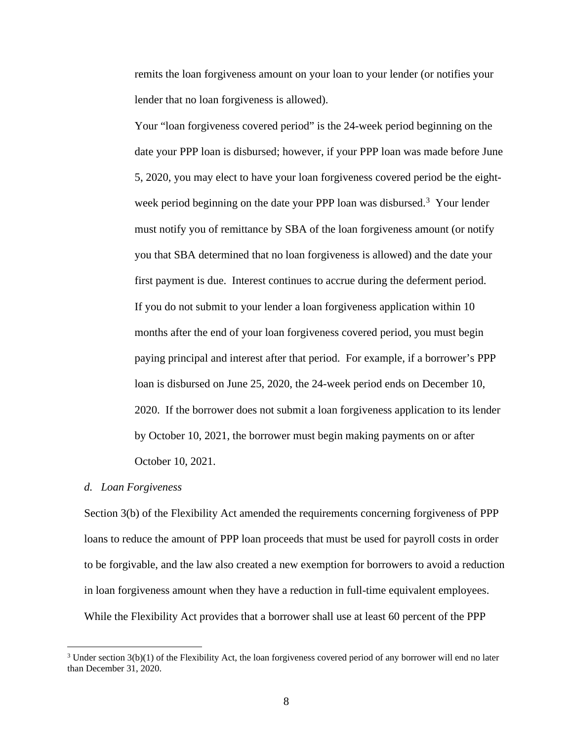remits the loan forgiveness amount on your loan to your lender (or notifies your lender that no loan forgiveness is allowed).

Your "loan forgiveness covered period" is the 24-week period beginning on the date your PPP loan is disbursed; however, if your PPP loan was made before June 5, 2020, you may elect to have your loan forgiveness covered period be the eight-week period beginning on the date your PPP loan was disbursed.<sup>[3](#page-7-0)</sup> Your lender must notify you of remittance by SBA of the loan forgiveness amount (or notify you that SBA determined that no loan forgiveness is allowed) and the date your first payment is due. Interest continues to accrue during the deferment period. If you do not submit to your lender a loan forgiveness application within 10 months after the end of your loan forgiveness covered period, you must begin paying principal and interest after that period. For example, if a borrower's PPP loan is disbursed on June 25, 2020, the 24-week period ends on December 10, 2020. If the borrower does not submit a loan forgiveness application to its lender by October 10, 2021, the borrower must begin making payments on or after October 10, 2021.

#### *d. Loan Forgiveness*

Section 3(b) of the Flexibility Act amended the requirements concerning forgiveness of PPP loans to reduce the amount of PPP loan proceeds that must be used for payroll costs in order to be forgivable, and the law also created a new exemption for borrowers to avoid a reduction in loan forgiveness amount when they have a reduction in full-time equivalent employees. While the Flexibility Act provides that a borrower shall use at least 60 percent of the PPP

<span id="page-7-0"></span> $3$  Under section  $3(b)(1)$  of the Flexibility Act, the loan forgiveness covered period of any borrower will end no later than December 31, 2020.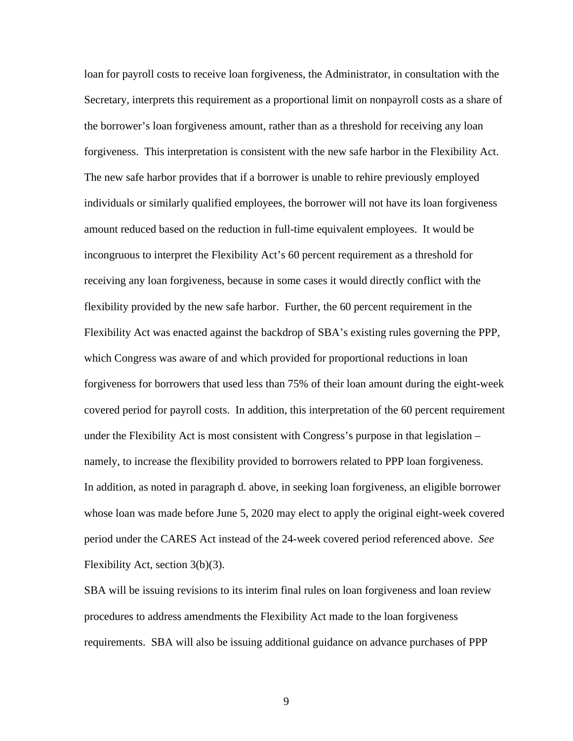loan for payroll costs to receive loan forgiveness, the Administrator, in consultation with the Secretary, interprets this requirement as a proportional limit on nonpayroll costs as a share of the borrower's loan forgiveness amount, rather than as a threshold for receiving any loan forgiveness. This interpretation is consistent with the new safe harbor in the Flexibility Act. The new safe harbor provides that if a borrower is unable to rehire previously employed individuals or similarly qualified employees, the borrower will not have its loan forgiveness amount reduced based on the reduction in full-time equivalent employees. It would be incongruous to interpret the Flexibility Act's 60 percent requirement as a threshold for receiving any loan forgiveness, because in some cases it would directly conflict with the flexibility provided by the new safe harbor. Further, the 60 percent requirement in the Flexibility Act was enacted against the backdrop of SBA's existing rules governing the PPP, which Congress was aware of and which provided for proportional reductions in loan forgiveness for borrowers that used less than 75% of their loan amount during the eight-week covered period for payroll costs. In addition, this interpretation of the 60 percent requirement under the Flexibility Act is most consistent with Congress's purpose in that legislation – namely, to increase the flexibility provided to borrowers related to PPP loan forgiveness. In addition, as noted in paragraph d. above, in seeking loan forgiveness, an eligible borrower whose loan was made before June 5, 2020 may elect to apply the original eight-week covered period under the CARES Act instead of the 24-week covered period referenced above. *See* Flexibility Act, section 3(b)(3).

SBA will be issuing revisions to its interim final rules on loan forgiveness and loan review procedures to address amendments the Flexibility Act made to the loan forgiveness requirements. SBA will also be issuing additional guidance on advance purchases of PPP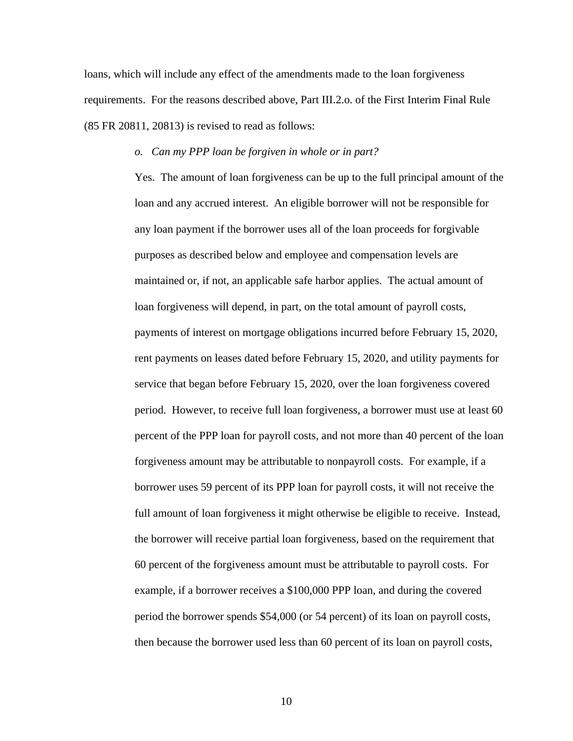loans, which will include any effect of the amendments made to the loan forgiveness requirements. For the reasons described above, Part III.2.o. of the First Interim Final Rule (85 FR 20811, 20813) is revised to read as follows:

#### *o. Can my PPP loan be forgiven in whole or in part?*

Yes. The amount of loan forgiveness can be up to the full principal amount of the loan and any accrued interest. An eligible borrower will not be responsible for any loan payment if the borrower uses all of the loan proceeds for forgivable purposes as described below and employee and compensation levels are maintained or, if not, an applicable safe harbor applies. The actual amount of loan forgiveness will depend, in part, on the total amount of payroll costs, payments of interest on mortgage obligations incurred before February 15, 2020, rent payments on leases dated before February 15, 2020, and utility payments for service that began before February 15, 2020, over the loan forgiveness covered period. However, to receive full loan forgiveness, a borrower must use at least 60 percent of the PPP loan for payroll costs, and not more than 40 percent of the loan forgiveness amount may be attributable to nonpayroll costs. For example, if a borrower uses 59 percent of its PPP loan for payroll costs, it will not receive the full amount of loan forgiveness it might otherwise be eligible to receive. Instead, the borrower will receive partial loan forgiveness, based on the requirement that 60 percent of the forgiveness amount must be attributable to payroll costs. For example, if a borrower receives a \$100,000 PPP loan, and during the covered period the borrower spends \$54,000 (or 54 percent) of its loan on payroll costs, then because the borrower used less than 60 percent of its loan on payroll costs,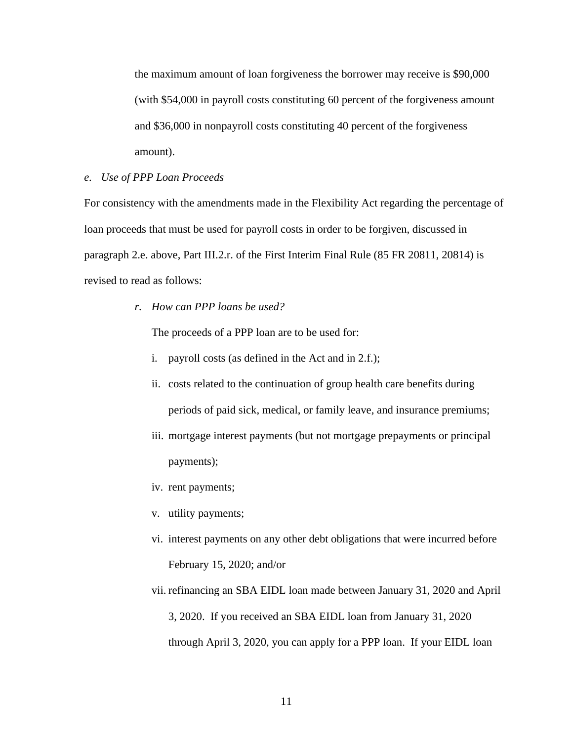the maximum amount of loan forgiveness the borrower may receive is \$90,000 (with \$54,000 in payroll costs constituting 60 percent of the forgiveness amount and \$36,000 in nonpayroll costs constituting 40 percent of the forgiveness amount).

## *e. Use of PPP Loan Proceeds*

For consistency with the amendments made in the Flexibility Act regarding the percentage of loan proceeds that must be used for payroll costs in order to be forgiven, discussed in paragraph 2.e. above, Part III.2.r. of the First Interim Final Rule (85 FR 20811, 20814) is revised to read as follows:

*r. How can PPP loans be used?*

The proceeds of a PPP loan are to be used for:

- i. payroll costs (as defined in the Act and in 2.f.);
- ii. costs related to the continuation of group health care benefits during periods of paid sick, medical, or family leave, and insurance premiums;
- iii. mortgage interest payments (but not mortgage prepayments or principal payments);
- iv. rent payments;
- v. utility payments;
- vi. interest payments on any other debt obligations that were incurred before February 15, 2020; and/or
- vii. refinancing an SBA EIDL loan made between January 31, 2020 and April 3, 2020. If you received an SBA EIDL loan from January 31, 2020 through April 3, 2020, you can apply for a PPP loan. If your EIDL loan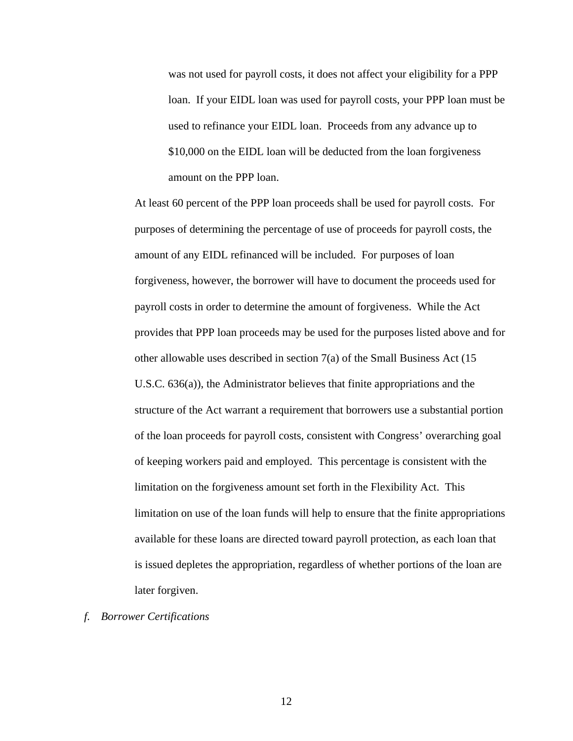was not used for payroll costs, it does not affect your eligibility for a PPP loan. If your EIDL loan was used for payroll costs, your PPP loan must be used to refinance your EIDL loan. Proceeds from any advance up to \$10,000 on the EIDL loan will be deducted from the loan forgiveness amount on the PPP loan.

At least 60 percent of the PPP loan proceeds shall be used for payroll costs. For purposes of determining the percentage of use of proceeds for payroll costs, the amount of any EIDL refinanced will be included. For purposes of loan forgiveness, however, the borrower will have to document the proceeds used for payroll costs in order to determine the amount of forgiveness. While the Act provides that PPP loan proceeds may be used for the purposes listed above and for other allowable uses described in section 7(a) of the Small Business Act (15 U.S.C. 636(a)), the Administrator believes that finite appropriations and the structure of the Act warrant a requirement that borrowers use a substantial portion of the loan proceeds for payroll costs, consistent with Congress' overarching goal of keeping workers paid and employed. This percentage is consistent with the limitation on the forgiveness amount set forth in the Flexibility Act. This limitation on use of the loan funds will help to ensure that the finite appropriations available for these loans are directed toward payroll protection, as each loan that is issued depletes the appropriation, regardless of whether portions of the loan are later forgiven.

*f. Borrower Certifications*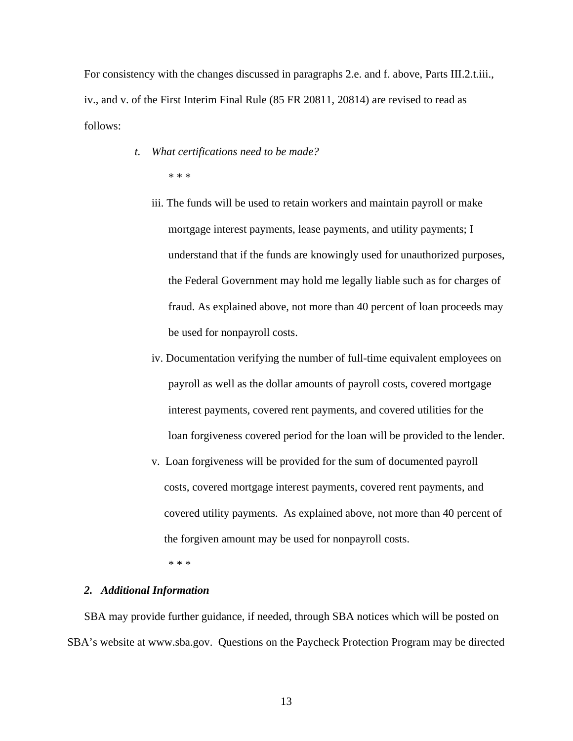For consistency with the changes discussed in paragraphs 2.e. and f. above, Parts III.2.t.iii., iv., and v. of the First Interim Final Rule (85 FR 20811, 20814) are revised to read as follows:

- *t. What certifications need to be made?* \* \* \*
	- iii. The funds will be used to retain workers and maintain payroll or make mortgage interest payments, lease payments, and utility payments; I understand that if the funds are knowingly used for unauthorized purposes, the Federal Government may hold me legally liable such as for charges of fraud. As explained above, not more than 40 percent of loan proceeds may be used for nonpayroll costs.
	- iv. Documentation verifying the number of full-time equivalent employees on payroll as well as the dollar amounts of payroll costs, covered mortgage interest payments, covered rent payments, and covered utilities for the loan forgiveness covered period for the loan will be provided to the lender.
	- v. Loan forgiveness will be provided for the sum of documented payroll costs, covered mortgage interest payments, covered rent payments, and covered utility payments. As explained above, not more than 40 percent of the forgiven amount may be used for nonpayroll costs.

\* \* \*

#### *2. Additional Information*

SBA may provide further guidance, if needed, through SBA notices which will be posted on SBA's website at www.sba.gov. Questions on the Paycheck Protection Program may be directed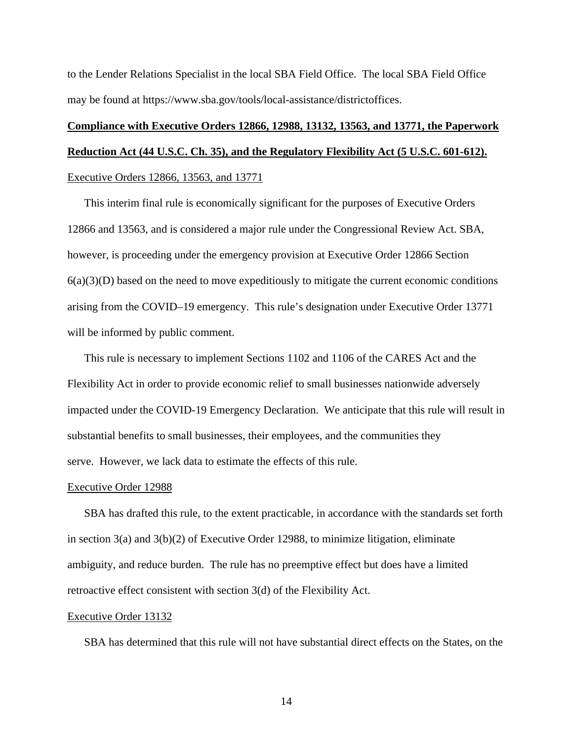to the Lender Relations Specialist in the local SBA Field Office. The local SBA Field Office may be found at https://www.sba.gov/tools/local-assistance/districtoffices.

# **Compliance with Executive Orders 12866, 12988, 13132, 13563, and 13771, the Paperwork Reduction Act (44 U.S.C. Ch. 35), and the Regulatory Flexibility Act (5 U.S.C. 601-612).**  Executive Orders 12866, 13563, and 13771

This interim final rule is economically significant for the purposes of Executive Orders 12866 and 13563, and is considered a major rule under the Congressional Review Act. SBA, however, is proceeding under the emergency provision at Executive Order 12866 Section  $6(a)(3)(D)$  based on the need to move expeditiously to mitigate the current economic conditions arising from the COVID–19 emergency. This rule's designation under Executive Order 13771 will be informed by public comment.

This rule is necessary to implement Sections 1102 and 1106 of the CARES Act and the Flexibility Act in order to provide economic relief to small businesses nationwide adversely impacted under the COVID-19 Emergency Declaration. We anticipate that this rule will result in substantial benefits to small businesses, their employees, and the communities they serve. However, we lack data to estimate the effects of this rule.

#### Executive Order 12988

SBA has drafted this rule, to the extent practicable, in accordance with the standards set forth in section  $3(a)$  and  $3(b)(2)$  of Executive Order 12988, to minimize litigation, eliminate ambiguity, and reduce burden. The rule has no preemptive effect but does have a limited retroactive effect consistent with section 3(d) of the Flexibility Act.

#### Executive Order 13132

SBA has determined that this rule will not have substantial direct effects on the States, on the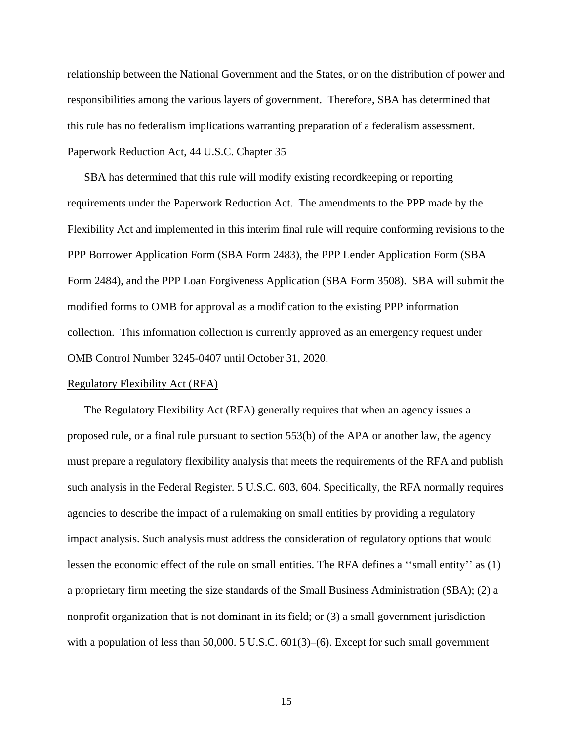relationship between the National Government and the States, or on the distribution of power and responsibilities among the various layers of government. Therefore, SBA has determined that this rule has no federalism implications warranting preparation of a federalism assessment. Paperwork Reduction Act, 44 U.S.C. Chapter 35

SBA has determined that this rule will modify existing recordkeeping or reporting requirements under the Paperwork Reduction Act. The amendments to the PPP made by the Flexibility Act and implemented in this interim final rule will require conforming revisions to the PPP Borrower Application Form (SBA Form 2483), the PPP Lender Application Form (SBA Form 2484), and the PPP Loan Forgiveness Application (SBA Form 3508). SBA will submit the modified forms to OMB for approval as a modification to the existing PPP information collection. This information collection is currently approved as an emergency request under OMB Control Number 3245-0407 until October 31, 2020.

#### Regulatory Flexibility Act (RFA)

The Regulatory Flexibility Act (RFA) generally requires that when an agency issues a proposed rule, or a final rule pursuant to section 553(b) of the APA or another law, the agency must prepare a regulatory flexibility analysis that meets the requirements of the RFA and publish such analysis in the Federal Register. 5 U.S.C. 603, 604. Specifically, the RFA normally requires agencies to describe the impact of a rulemaking on small entities by providing a regulatory impact analysis. Such analysis must address the consideration of regulatory options that would lessen the economic effect of the rule on small entities. The RFA defines a ''small entity'' as (1) a proprietary firm meeting the size standards of the Small Business Administration (SBA); (2) a nonprofit organization that is not dominant in its field; or (3) a small government jurisdiction with a population of less than 50,000. 5 U.S.C. 601(3)–(6). Except for such small government